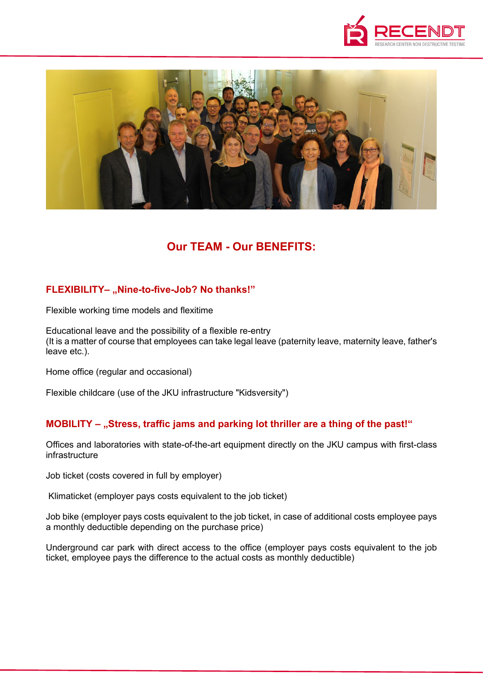



# **Our TEAM - Our BENEFITS:**

# **FLEXIBILITY-** "Nine-to-five-Job? No thanks!"

Flexible working time models and flexitime

Educational leave and the possibility of a flexible re-entry (It is a matter of course that employees can take legal leave (paternity leave, maternity leave, father's leave etc.).

Home office (regular and occasional)

Flexible childcare (use of the JKU infrastructure "Kidsversity")

#### **MOBILITY – "Stress, traffic jams and parking lot thriller are a thing of the past!"**

Offices and laboratories with state-of-the-art equipment directly on the JKU campus with first-class infrastructure

Job ticket (costs covered in full by employer)

Klimaticket (employer pays costs equivalent to the job ticket)

Job bike (employer pays costs equivalent to the job ticket, in case of additional costs employee pays a monthly deductible depending on the purchase price)

Underground car park with direct access to the office (employer pays costs equivalent to the job ticket, employee pays the difference to the actual costs as monthly deductible)